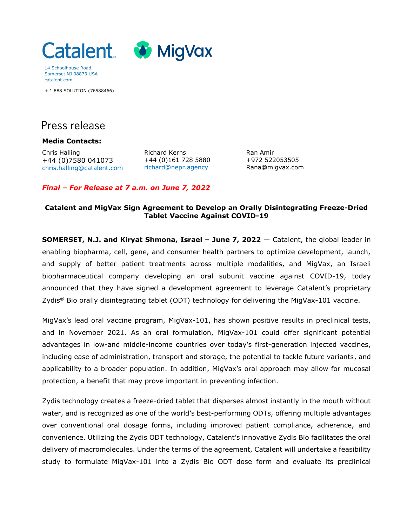

14 Schoolhouse Road Somerset NJ 08873 USA catalent.com

+ 1 888 SOLUTION (76588466)

# Press release

**Media Contacts:**

Chris Halling +44 (0)7580 041073 [chris.halling@catalent.com](mailto:chris.halling@catalent.com) Richard Kerns +44 (0)161 728 5880 [richard@nepr.agency](mailto:richard@nepr.eu)

Ran Amir +972 522053505 Rana@migvax.com

#### *Final – For Release at 7 a.m. on June 7, 2022*

#### **Catalent and MigVax Sign Agreement to Develop an Orally Disintegrating Freeze-Dried Tablet Vaccine Against COVID-19**

**SOMERSET, N.J. and Kiryat Shmona, Israel – June 7, 2022** — Catalent, the global leader in enabling biopharma, cell, gene, and consumer health partners to optimize development, launch, and supply of better patient treatments across multiple modalities, and MigVax, an Israeli biopharmaceutical company developing an oral subunit vaccine against COVID-19, today announced that they have signed a development agreement to leverage Catalent's proprietary Zydis® Bio orally disintegrating tablet (ODT) technology for delivering the MigVax-101 vaccine.

MigVax's lead oral vaccine program, MigVax-101, has shown positive results in preclinical tests, and in November 2021. As an oral formulation, MigVax-101 could offer significant potential advantages in low-and middle-income countries over today's first-generation injected vaccines, including ease of administration, transport and storage, the potential to tackle future variants, and applicability to a broader population. In addition, MigVax's oral approach may allow for mucosal protection, a benefit that may prove important in preventing infection.

Zydis technology creates a freeze-dried tablet that disperses almost instantly in the mouth without water, and is recognized as one of the world's best-performing ODTs, offering multiple advantages over conventional oral dosage forms, including improved patient compliance, adherence, and convenience. Utilizing the Zydis ODT technology, Catalent's innovative Zydis Bio facilitates the oral delivery of macromolecules. Under the terms of the agreement, Catalent will undertake a feasibility study to formulate MigVax-101 into a Zydis Bio ODT dose form and evaluate its preclinical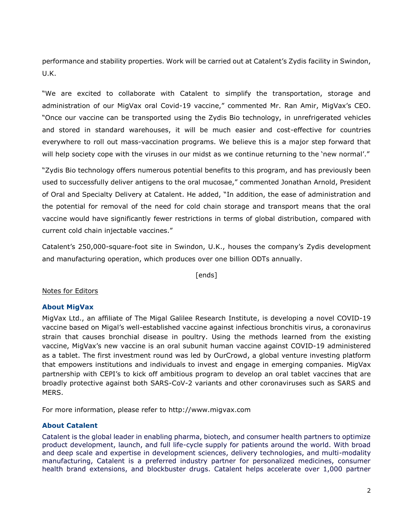performance and stability properties. Work will be carried out at Catalent's Zydis facility in Swindon, U.K.

"We are excited to collaborate with Catalent to simplify the transportation, storage and administration of our MigVax oral Covid-19 vaccine," commented Mr. Ran Amir, MigVax's CEO. "Once our vaccine can be transported using the Zydis Bio technology, in unrefrigerated vehicles and stored in standard warehouses, it will be much easier and cost-effective for countries everywhere to roll out mass-vaccination programs. We believe this is a major step forward that will help society cope with the viruses in our midst as we continue returning to the 'new normal'."

"Zydis Bio technology offers numerous potential benefits to this program, and has previously been used to successfully deliver antigens to the oral mucosae," commented Jonathan Arnold, President of Oral and Specialty Delivery at Catalent. He added, "In addition, the ease of administration and the potential for removal of the need for cold chain storage and transport means that the oral vaccine would have significantly fewer restrictions in terms of global distribution, compared with current cold chain injectable vaccines."

Catalent's 250,000-square-foot site in Swindon, U.K., houses the company's Zydis development and manufacturing operation, which produces over one billion ODTs annually.

[ends]

## Notes for Editors

## **About MigVax**

MigVax Ltd., an affiliate of The Migal Galilee Research Institute, is developing a novel COVID-19 vaccine based on Migal's well-established vaccine against infectious bronchitis virus, a coronavirus strain that causes bronchial disease in poultry. Using the methods learned from the existing vaccine, MigVax's new vaccine is an oral subunit human vaccine against COVID-19 administered as a tablet. The first investment round was led by OurCrowd, a global venture investing platform that empowers institutions and individuals to invest and engage in emerging companies. MigVax partnership with CEPI's to kick off ambitious program to develop an oral tablet vaccines that are broadly protective against both SARS-CoV-2 variants and other coronaviruses such as SARS and MERS.

For more information, please refer to http://www.migvax.com

## **About Catalent**

Catalent is the global leader in enabling pharma, biotech, and consumer health partners to optimize product development, launch, and full life-cycle supply for patients around the world. With broad and deep scale and expertise in development sciences, delivery technologies, and multi-modality manufacturing, Catalent is a preferred industry partner for personalized medicines, consumer health brand extensions, and blockbuster drugs. Catalent helps accelerate over 1,000 partner